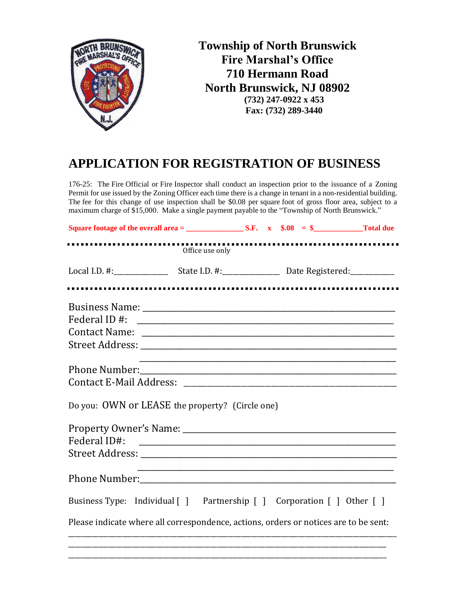

## **APPLICATION FOR REGISTRATION OF BUSINESS**

176-25: The Fire Official or Fire Inspector shall conduct an inspection prior to the issuance of a Zoning Permit for use issued by the Zoning Officer each time there is a change in tenant in a non-residential building. The fee for this change of use inspection shall be \$0.08 per square foot of gross floor area, subject to a maximum charge of \$15,000. Make a single payment payable to the "Township of North Brunswick."

|                                                                                      | Office use only |  |  |
|--------------------------------------------------------------------------------------|-----------------|--|--|
|                                                                                      |                 |  |  |
|                                                                                      |                 |  |  |
|                                                                                      |                 |  |  |
|                                                                                      |                 |  |  |
|                                                                                      |                 |  |  |
|                                                                                      |                 |  |  |
|                                                                                      |                 |  |  |
|                                                                                      |                 |  |  |
| Do you: OWN or LEASE the property? (Circle one)                                      |                 |  |  |
|                                                                                      |                 |  |  |
|                                                                                      |                 |  |  |
|                                                                                      |                 |  |  |
|                                                                                      |                 |  |  |
| Business Type: Individual [] Partnership [] Corporation [] Other []                  |                 |  |  |
| Please indicate where all correspondence, actions, orders or notices are to be sent: |                 |  |  |
|                                                                                      |                 |  |  |
|                                                                                      |                 |  |  |